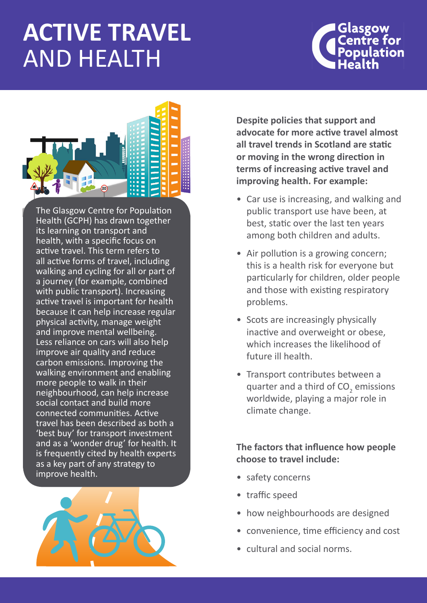# **ACTIVE TRAVEL**  AND HEALTH





The Glasgow Centre for Population Health (GCPH) has drawn together its learning on transport and health, with a specific focus on active travel. This term refers to all active forms of travel, including walking and cycling for all or part of a journey (for example, combined with public transport). Increasing active travel is important for health because it can help increase regular physical activity, manage weight and improve mental wellbeing. Less reliance on cars will also help improve air quality and reduce carbon emissions. Improving the walking environment and enabling more people to walk in their neighbourhood, can help increase social contact and build more connected communities. Active travel has been described as both a 'best buy' for transport investment and as a 'wonder drug' for health. It is frequently cited by health experts as a key part of any strategy to improve health.



**Despite policies that support and advocate for more active travel almost all travel trends in Scotland are static or moving in the wrong direction in terms of increasing active travel and improving health. For example:** 

- Car use is increasing, and walking and public transport use have been, at best, static over the last ten years among both children and adults.
- Air pollution is a growing concern; this is a health risk for everyone but particularly for children, older people and those with existing respiratory problems.
- Scots are increasingly physically inactive and overweight or obese, which increases the likelihood of future ill health.
- Transport contributes between a quarter and a third of  $CO<sub>2</sub>$  emissions worldwide, playing a major role in climate change.

#### **The factors that influence how people choose to travel include:**

- safety concerns
- • traffic speed
- how neighbourhoods are designed
- • convenience, time efficiency and cost
- cultural and social norms.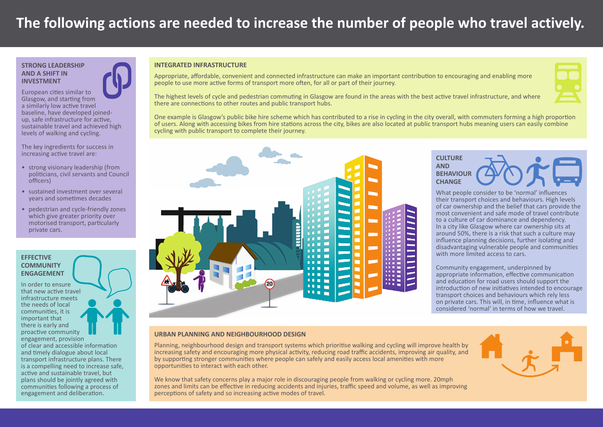## **The following actions are needed to increase the number of people who travel actively.**

#### **STRONG LEADERSHIP AND A SHIFT IN INVESTMENT**

European cities similar to Glasgow, and starting from a similarly low active travel baseline, have developed joinedup, safe infrastructure for active, sustainable travel and achieved high levels of walking and cycling.

The key ingredients for success in increasing active travel are:

- strong visionary leadership (from politicians, civil servants and Council officers)
- sustained investment over several years and sometimes decades
- pedestrian and cycle-friendly zones which give greater priority over motorised transport, particularly private cars.

#### **EFFECTIVE COMMUNITY ENGAGEMENT**

In order to ensure that new active travel infrastructure meets the needs of local communities, it is important that there is early and proactive community engagement, provision of clear and accessible information and timely dialogue about local transport infrastructure plans. There is a compelling need to increase safe, active and sustainable travel, but plans should be jointly agreed with communities following a process of engagement and deliberation.

#### **INTEGRATED INFRASTRUCTURE**

Appropriate, affordable, convenient and connected infrastructure can make an important contribution to encouraging and enabling more people to use more active forms of transport more often, for all or part of their journey.

The highest levels of cycle and pedestrian commuting in Glasgow are found in the areas with the best active travel infrastructure, and where there are connections to other routes and public transport hubs.

One example is Glasgow's public bike hire scheme which has contributed to a rise in cycling in the city overall, with commuters forming a high proportion of users. Along with accessing bikes from hire stations across the city, bikes are also located at public transport hubs meaning users can easily combine cycling with public transport to complete their journey.





What people consider to be 'normal' influences their transport choices and behaviours. High levels of car ownership and the belief that cars provide the most convenient and safe mode of travel contribute to a culture of car dominance and dependency. In a city like Glasgow where car ownership sits at around 50%, there is a risk that such a culture may influence planning decisions, further isolating and disadvantaging vulnerable people and communities with more limited access to cars.

Community engagement, underpinned by appropriate information, effective communication and education for road users should support the introduction of new initiatives intended to encourage transport choices and behaviours which rely less on private cars. This will, in time, influence what is considered 'normal' in terms of how we travel.

#### **URBAN PLANNING AND NEIGHBOURHOOD DESIGN**

Planning, neighbourhood design and transport systems which prioritise walking and cycling will improve health by increasing safety and encouraging more physical activity, reducing road traffic accidents, improving air quality, and by supporting stronger communities where people can safely and easily access local amenities with more opportunities to interact with each other.

We know that safety concerns play a major role in discouraging people from walking or cycling more. 20mph zones and limits can be effective in reducing accidents and injuries, traffic speed and volume, as well as improving perceptions of safety and so increasing active modes of travel.